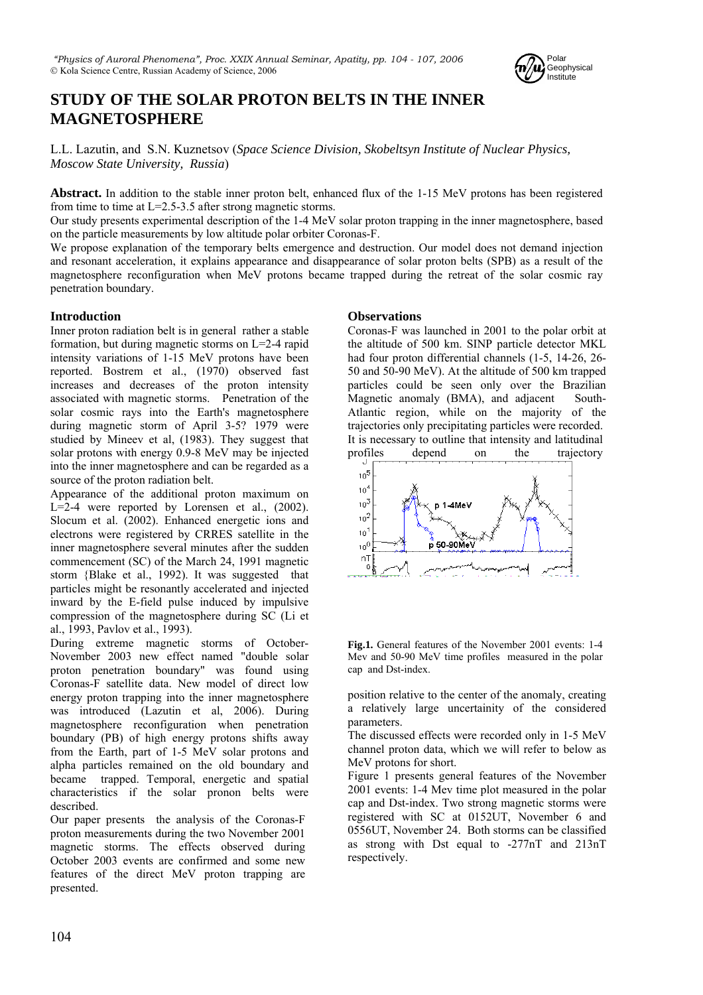

# **STUDY OF THE SOLAR PROTON BELTS IN THE INNER MAGNETOSPHERE**

L.L. Lazutin, and S.N. Kuznetsov (*Space Science Division, Skobeltsyn Institute of Nuclear Physics, Moscow State University, Russia*)

**Abstract.** In addition to the stable inner proton belt, enhanced flux of the 1-15 MeV protons has been registered from time to time at L=2.5-3.5 after strong magnetic storms.

Our study presents experimental description of the 1-4 MeV solar proton trapping in the inner magnetosphere, based on the particle measurements by low altitude polar orbiter Coronas-F.

We propose explanation of the temporary belts emergence and destruction. Our model does not demand injection and resonant acceleration, it explains appearance and disappearance of solar proton belts (SPB) as a result of the magnetosphere reconfiguration when MeV protons became trapped during the retreat of the solar cosmic ray penetration boundary.

## **Introduction**

Inner proton radiation belt is in general rather a stable formation, but during magnetic storms on L=2-4 rapid intensity variations of 1-15 MeV protons have been reported. Bostrem et al., (1970) observed fast increases and decreases of the proton intensity associated with magnetic storms. Penetration of the solar cosmic rays into the Earth's magnetosphere during magnetic storm of April 3-5? 1979 were studied by Mineev et al, (1983). They suggest that solar protons with energy 0.9-8 MeV may be injected into the inner magnetosphere and can be regarded as a source of the proton radiation belt.

Appearance of the additional proton maximum on  $L=2-4$  were reported by Lorensen et al.,  $(2002)$ . Slocum et al. (2002). Enhanced energetic ions and electrons were registered by CRRES satellite in the inner magnetosphere several minutes after the sudden commencement (SC) of the March 24, 1991 magnetic storm {Blake et al., 1992). It was suggested that particles might be resonantly accelerated and injected inward by the E-field pulse induced by impulsive compression of the magnetosphere during SC (Li et al., 1993, Pavlov et al., 1993).

During extreme magnetic storms of October-November 2003 new effect named "double solar proton penetration boundary" was found using Coronas-F satellite data. New model of direct low energy proton trapping into the inner magnetosphere was introduced (Lazutin et al, 2006). During magnetosphere reconfiguration when penetration boundary (PB) of high energy protons shifts away from the Earth, part of 1-5 MeV solar protons and alpha particles remained on the old boundary and became trapped. Temporal, energetic and spatial characteristics if the solar pronon belts were described.

Our paper presents the analysis of the Coronas-F proton measurements during the two November 2001 magnetic storms. The effects observed during October 2003 events are confirmed and some new features of the direct MeV proton trapping are presented.

## **Observations**

Coronas-F was launched in 2001 to the polar orbit at the altitude of 500 km. SINP particle detector MKL had four proton differential channels (1-5, 14-26, 26- 50 and 50-90 MeV). At the altitude of 500 km trapped particles could be seen only over the Brazilian Magnetic anomaly (BMA), and adjacent South-Atlantic region, while on the majority of the trajectories only precipitating particles were recorded. It is necessary to outline that intensity and latitudinal profiles depend on the trajectory



**Fig.1.** General features of the November 2001 events: 1-4 Mev and 50-90 MeV time profiles measured in the polar cap and Dst-index.

position relative to the center of the anomaly, creating a relatively large uncertainity of the considered parameters.

The discussed effects were recorded only in 1-5 MeV channel proton data, which we will refer to below as MeV protons for short.

Figure 1 presents general features of the November 2001 events: 1-4 Mev time plot measured in the polar cap and Dst-index. Two strong magnetic storms were registered with SC at 0152UT, November 6 and 0556UT, November 24. Both storms can be classified as strong with Dst equal to -277nT and 213nT respectively.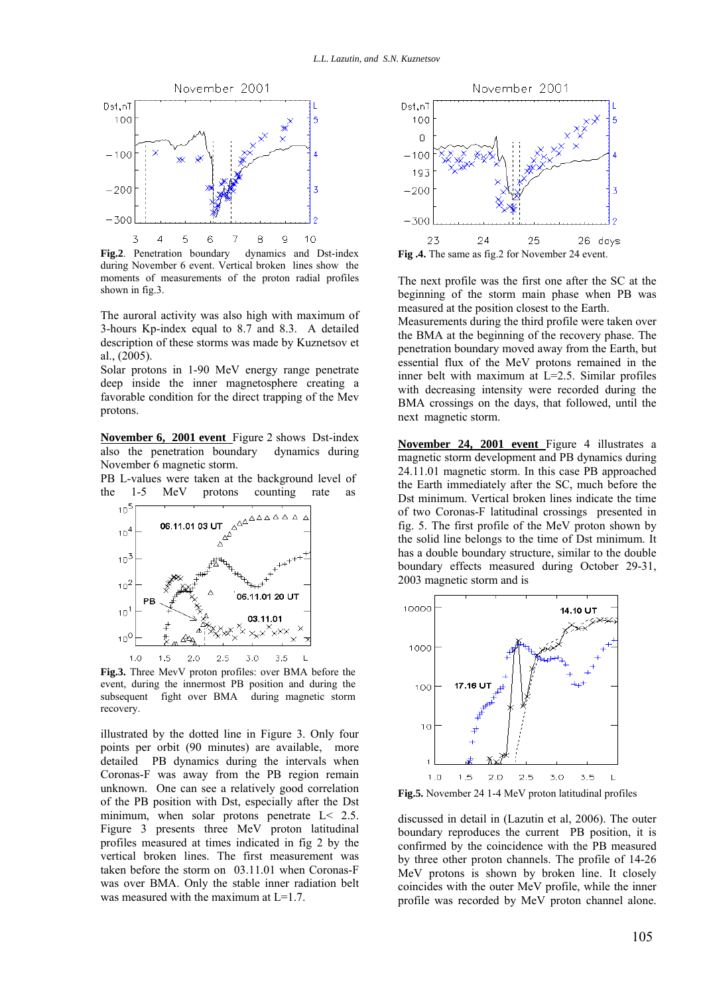

during November 6 event. Vertical broken lines show the moments of measurements of the proton radial profiles shown in fig.3.

The auroral activity was also high with maximum of 3-hours Kp-index equal to 8.7 and 8.3. A detailed description of these storms was made by Kuznetsov et al., (2005).

Solar protons in 1-90 MeV energy range penetrate deep inside the inner magnetosphere creating a favorable condition for the direct trapping of the Mev protons.

**November 6, 2001 event** Figure 2 shows Dst-index also the penetration boundary dynamics during November 6 magnetic storm.

PB L-values were taken at the background level of the 1-5 MeV protons counting rate as



event, during the innermost PB position and during the subsequent fight over BMA during magnetic storm recovery.

illustrated by the dotted line in Figure 3. Only four points per orbit (90 minutes) are available, more detailed PB dynamics during the intervals when Coronas-F was away from the PB region remain unknown. One can see a relatively good correlation of the PB position with Dst, especially after the Dst minimum, when solar protons penetrate  $L < 2.5$ . Figure 3 presents three MeV proton latitudinal profiles measured at times indicated in fig 2 by the vertical broken lines. The first measurement was taken before the storm on 03.11.01 when Coronas-F was over BMA. Only the stable inner radiation belt was measured with the maximum at L=1.7.



The next profile was the first one after the SC at the beginning of the storm main phase when PB was measured at the position closest to the Earth.

Measurements during the third profile were taken over the BMA at the beginning of the recovery phase. The penetration boundary moved away from the Earth, but essential flux of the MeV protons remained in the inner belt with maximum at L=2.5. Similar profiles with decreasing intensity were recorded during the BMA crossings on the days, that followed, until the next magnetic storm.

**November 24, 2001 event** Figure 4 illustrates a magnetic storm development and PB dynamics during 24.11.01 magnetic storm. In this case PB approached the Earth immediately after the SC, much before the Dst minimum. Vertical broken lines indicate the time of two Coronas-F latitudinal crossings presented in fig. 5. The first profile of the MeV proton shown by the solid line belongs to the time of Dst minimum. It has a double boundary structure, similar to the double boundary effects measured during October 29-31, 2003 magnetic storm and is



discussed in detail in (Lazutin et al, 2006). The outer boundary reproduces the current PB position, it is confirmed by the coincidence with the PB measured by three other proton channels. The profile of 14-26 MeV protons is shown by broken line. It closely coincides with the outer MeV profile, while the inner profile was recorded by MeV proton channel alone.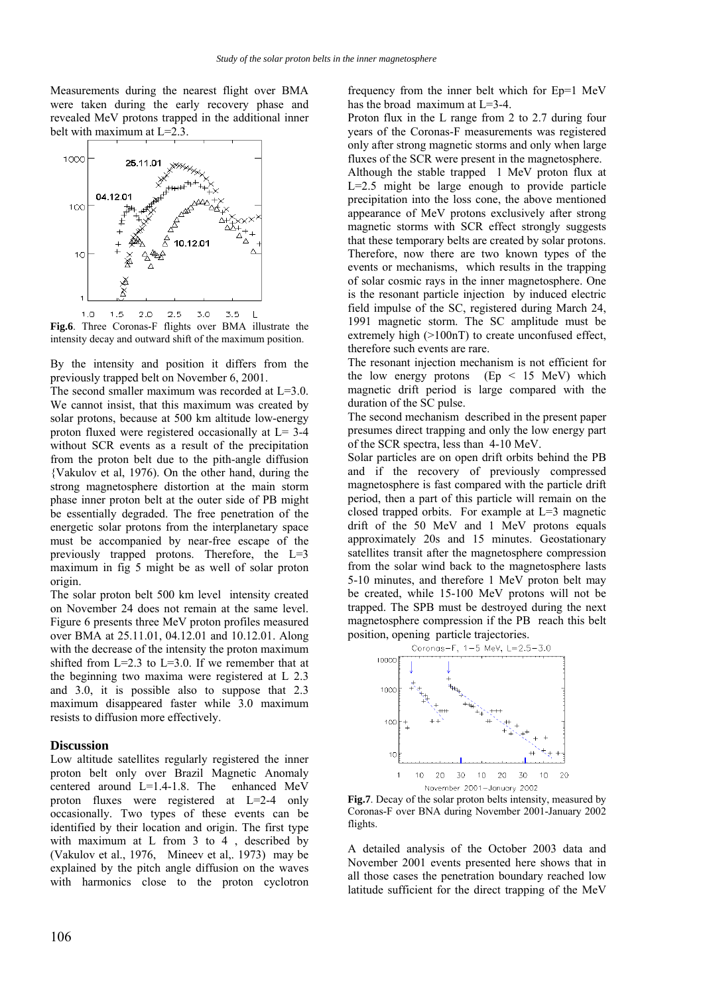Measurements during the nearest flight over BMA were taken during the early recovery phase and revealed MeV protons trapped in the additional inner belt with maximum at L=2.3.



**Fig.6**. Three Coronas-F flights over BMA illustrate the intensity decay and outward shift of the maximum position.

By the intensity and position it differs from the previously trapped belt on November 6, 2001.

The second smaller maximum was recorded at L=3.0. We cannot insist, that this maximum was created by solar protons, because at 500 km altitude low-energy proton fluxed were registered occasionally at L= 3-4 without SCR events as a result of the precipitation from the proton belt due to the pith-angle diffusion {Vakulov et al, 1976). On the other hand, during the strong magnetosphere distortion at the main storm phase inner proton belt at the outer side of PB might be essentially degraded. The free penetration of the energetic solar protons from the interplanetary space must be accompanied by near-free escape of the previously trapped protons. Therefore, the L=3 maximum in fig 5 might be as well of solar proton origin.

The solar proton belt 500 km level intensity created on November 24 does not remain at the same level. Figure 6 presents three MeV proton profiles measured over BMA at 25.11.01, 04.12.01 and 10.12.01. Along with the decrease of the intensity the proton maximum shifted from  $L=2.3$  to  $L=3.0$ . If we remember that at the beginning two maxima were registered at L 2.3 and 3.0, it is possible also to suppose that 2.3 maximum disappeared faster while 3.0 maximum resists to diffusion more effectively.

#### **Discussion**

Low altitude satellites regularly registered the inner proton belt only over Brazil Magnetic Anomaly centered around L=1.4-1.8. The enhanced MeV proton fluxes were registered at L=2-4 only occasionally. Two types of these events can be identified by their location and origin. The first type with maximum at L from 3 to 4, described by (Vakulov et al., 1976, Mineev et al,. 1973) may be explained by the pitch angle diffusion on the waves with harmonics close to the proton cyclotron

frequency from the inner belt which for Ep=1 MeV has the broad maximum at L=3-4.

Proton flux in the L range from 2 to 2.7 during four years of the Coronas-F measurements was registered only after strong magnetic storms and only when large fluxes of the SCR were present in the magnetosphere.

Although the stable trapped 1 MeV proton flux at L=2.5 might be large enough to provide particle precipitation into the loss cone, the above mentioned appearance of MeV protons exclusively after strong magnetic storms with SCR effect strongly suggests that these temporary belts are created by solar protons. Therefore, now there are two known types of the events or mechanisms, which results in the trapping of solar cosmic rays in the inner magnetosphere. One is the resonant particle injection by induced electric field impulse of the SC, registered during March 24, 1991 magnetic storm. The SC amplitude must be extremely high (>100nT) to create unconfused effect, therefore such events are rare.

The resonant injection mechanism is not efficient for the low energy protons  $(Ep < 15 \text{ MeV})$  which magnetic drift period is large compared with the duration of the SC pulse.

The second mechanism described in the present paper presumes direct trapping and only the low energy part of the SCR spectra, less than 4-10 MeV.

Solar particles are on open drift orbits behind the PB and if the recovery of previously compressed magnetosphere is fast compared with the particle drift period, then a part of this particle will remain on the closed trapped orbits. For example at L=3 magnetic drift of the 50 MeV and 1 MeV protons equals approximately 20s and 15 minutes. Geostationary satellites transit after the magnetosphere compression from the solar wind back to the magnetosphere lasts 5-10 minutes, and therefore 1 MeV proton belt may be created, while 15-100 MeV protons will not be trapped. The SPB must be destroyed during the next magnetosphere compression if the PB reach this belt position, opening particle trajectories.



**Fig.7**. Decay of the solar proton belts intensity, measured by Coronas-F over BNA during November 2001-January 2002 flights.

A detailed analysis of the October 2003 data and November 2001 events presented here shows that in all those cases the penetration boundary reached low latitude sufficient for the direct trapping of the MeV